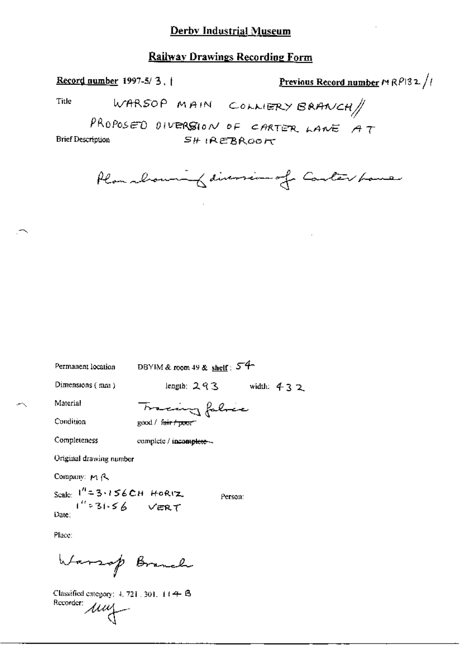#### **Railway Drawings Recording Form**

Record number 1997-5/3, 1

Previous Record number  $M \, \mathcal{R} \, \mathcal{P} \, 32 \, \sqrt{t}$ 

WARSOP MAIN COLLERY BRANCH Title

PROPOSED DIVERSION OF CARTER LANE AT **Brief Description**  $SH$  IREBROOK

Plan showing diversion of Carter Lane

Permanent location DBYIM & room 49 & shelf : 5<sup>-4-1</sup>

Dimensions  $(mn)$ 

length:  $293$  width:  $432$ 

Person:

Material Condition

Completeness

complete / incomplete -

Original drawing number

Company: MR

Scale:  $1^{n} = 3.156$  CH Horiz.<br> $1^{n} = 31.56$  VERT Date:

Place:

Warrop Branch

 $\overbrace{\text{Rccorder: }} \mathcal{U} \mathcal{U}$ Classified category:  $4, 721, 301, 114 + 6$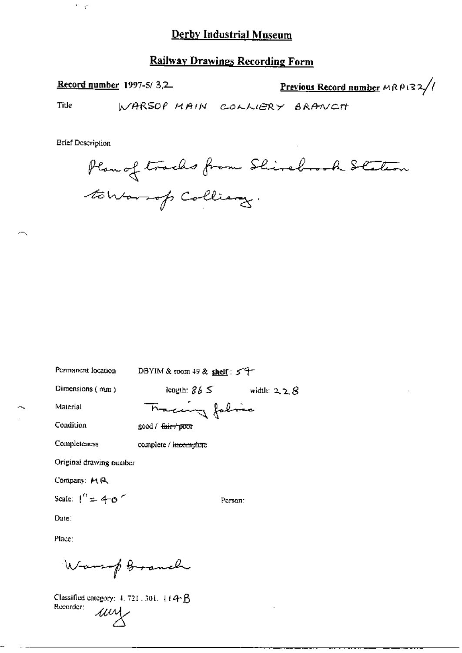#### **Railway Drawings Recording Form**

Record number 1997-5/3,2

Previous Record number MRP132/

Title

WARSOP MAIN COLLIERY BRANCT

**Brief Description** 

 $\mathcal{C}(\mathcal{C})$ 

Plan of tracks from Shirebrook Station towardp Colliany.

Permanent location

DBYIM & room 49 & shelf: 59

Dimensions (mm)

length:  $865$  width:  $228$ 

Condition

Material

Tracing folia good / fair+poor

complete / i<del>ncomplete</del>

Completeness

Original drawing number

Company: MR

Scale:  $1'' = 4-\omega$ 

Date:

Place:

Warsop Granch

Classified category: 4, 721, 301, 114B Recorder: um

Person: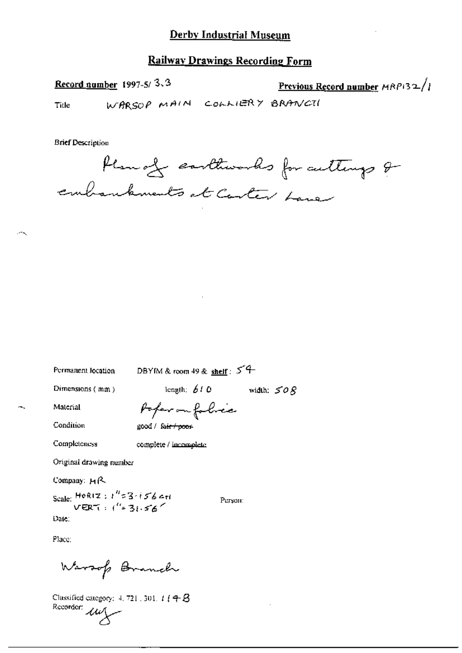### **Railway Drawings Recording Form**

Record number 1997-5/3.3

Previous Record number  $MRP$ 132/

WARSOP MAIN COLLIERY BRANCTI Title

**Brief Description** 

Plan of continuous for culturys & embankments at Carter Lane

Permanent location

DBYIM & room 49 & shelf:  $54$ 

Dimensions (mm)

length:  $610$ 

width:  $\leq$  0  $\beta$ 

Material

Condition

Poper on folice good / fair / poor

Completeness

complete / incomplete

Original drawing number

Company: HR

Scale: HoRIZ:  $i'' = 3 \cdot i56$  c+i<br>VERT:  $i'' = 3i.56$ Date:

Person:

Place:

Warsof Branch

Classified category:  $4, 721, 301, 1$  ( $4, 8$ )  $\frac{1}{\sqrt{2}}$  Recorder:  $\frac{1}{\sqrt{2}}$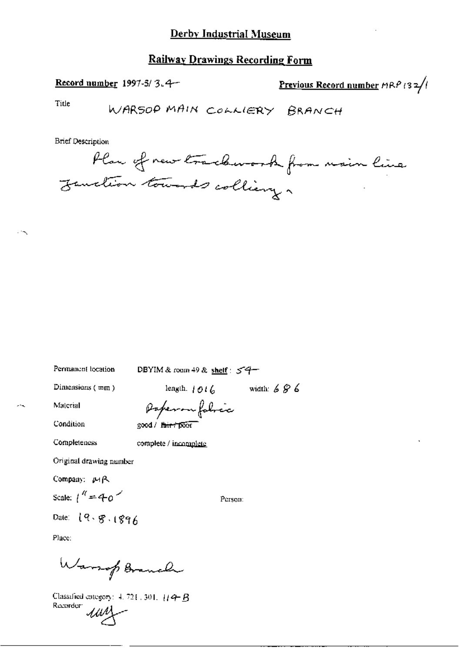#### **Railway Drawings Recording Form**

Record number 1997-5/3.4-

Previous Record number  $HRP$  (32/

Title

**Brief Description** 



Permanent location

DBYIM & room 49 & shelf:  $54$ 

Dimensions (mm)

length.  $1016$  width:  $696$ 

Person:

Material Condition

۰.,

Poperon fobric good / fair poor

Completeness

complete / incomplete

Original drawing number

Company: MR

Scale:  $1^{\prime\prime}$  = 40<sup>-</sup>

Date: 19.8.1896

Place:

Warrop Branch

Classified category:  $4.721.301.$  [14+ B] Recorder: um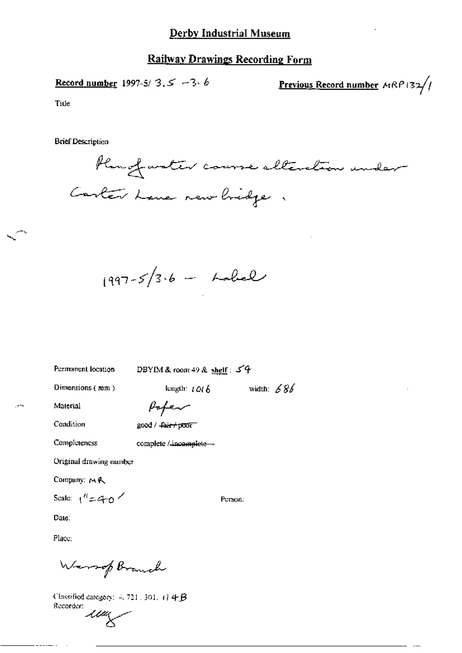#### **Railway Drawings Recording Form**

Record number 1997-5/3,  $5 - 3.6$ 

Previous Record number MRP132//

Title

**Brief Description** 



 $1997 - 5/3.6 -$  holed

Permanent location

DBYIM & room 49 & shelf: 54

length:  $1016$ 

Dimensions (mm)

width:  $686$ 

Person:

Material

Paper

Condition

Completeness

good / fair+poor

complete / incomplete -

Original drawing number

Company: MR

Scale:  $1^h = 4\pi$ o

Date:

Place:

Warrop Branch

Classified category:  $-721$ , 301, 1] 4  $\beta$ Recorder:

 $\mu$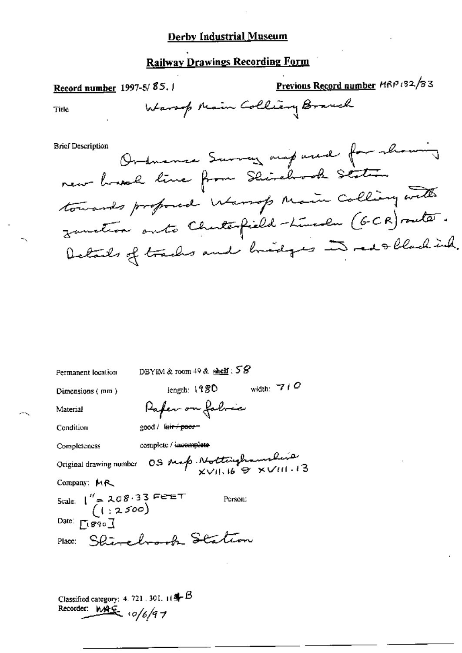## **Railway Drawings Recording Form**

Previous Record number MRP 132/83 Record number 1997-5/85. Warsop Main Colliery Branch **Title Brief Description** Ordnamer Survey mapared for showing new board line from Shirehook Station towards proposed Warsop Main Colling with zanction onto Chuterfield-Lincoln (GCR) suite. Details of tracks and bridges in redollachink.

| Permanent location                                                                                                                                                                                                                                                                                                                                                                                            | DBYIM & room $49$ & shelf : $58$ |  |
|---------------------------------------------------------------------------------------------------------------------------------------------------------------------------------------------------------------------------------------------------------------------------------------------------------------------------------------------------------------------------------------------------------------|----------------------------------|--|
| Dimensions $(mn)$                                                                                                                                                                                                                                                                                                                                                                                             | width: $-7 + O$<br>length: 1980  |  |
| Material                                                                                                                                                                                                                                                                                                                                                                                                      | Paper on folice                  |  |
| Condition                                                                                                                                                                                                                                                                                                                                                                                                     | good / <del>lair / poor –</del>  |  |
| Completeness                                                                                                                                                                                                                                                                                                                                                                                                  | complete / incomplete            |  |
| OS Map Nottaghamshire<br>Original drawing number                                                                                                                                                                                                                                                                                                                                                              |                                  |  |
| Company: MR                                                                                                                                                                                                                                                                                                                                                                                                   |                                  |  |
| Scale: $\begin{pmatrix} 1' = 208.33 \text{ F} & \text{F} & \text{F} & \text{F} & \text{F} & \text{F} & \text{F} & \text{F} & \text{F} & \text{F} & \text{F} & \text{F} & \text{F} & \text{F} & \text{F} & \text{F} & \text{F} & \text{F} & \text{F} & \text{F} & \text{F} & \text{F} & \text{F} & \text{F} & \text{F} & \text{F} & \text{F} & \text{F} & \text{F} & \text{F} & \text{F} & \text{F} & \text{F$ | Person:                          |  |
| Date: $\Gamma$ ( $\mathcal{B}$ 90 <sup>1</sup>                                                                                                                                                                                                                                                                                                                                                                |                                  |  |
|                                                                                                                                                                                                                                                                                                                                                                                                               | Place: Shirehook Station         |  |
|                                                                                                                                                                                                                                                                                                                                                                                                               |                                  |  |
|                                                                                                                                                                                                                                                                                                                                                                                                               |                                  |  |

Classified category: 4, 721, 301,  $\mathbb{H} \triangleq \mathbb{B}$ Recorder: MAG 10/6/97